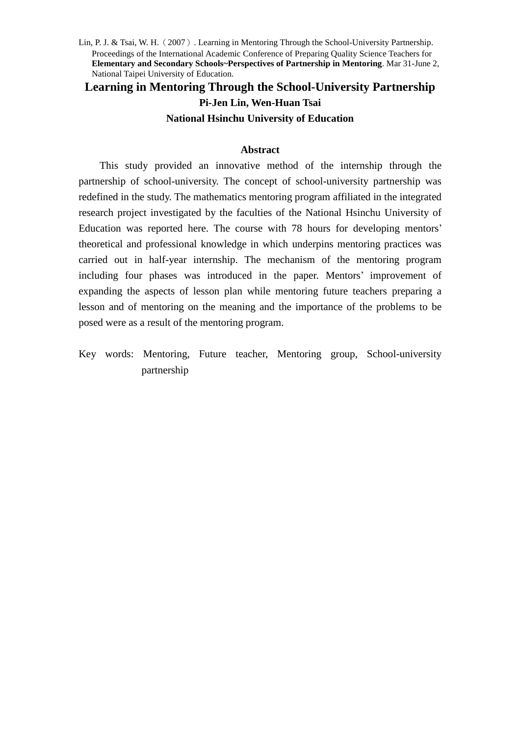**Learning in Mentoring Through the School-University Partnership Pi-Jen Lin, Wen-Huan Tsai National Hsinchu University of Education**

#### **Abstract**

This study provided an innovative method of the internship through the partnership of school-university. The concept of school-university partnership was redefined in the study. The mathematics mentoring program affiliated in the integrated research project investigated by the faculties of the National Hsinchu University of Education was reported here. The course with 78 hours for developing mentors' theoretical and professional knowledge in which underpins mentoring practices was carried out in half-year internship. The mechanism of the mentoring program including four phases was introduced in the paper. Mentors'improvement of expanding the aspects of lesson plan while mentoring future teachers preparing a lesson and of mentoring on the meaning and the importance of the problems to be posed were as a result of the mentoring program.

Key words: Mentoring, Future teacher, Mentoring group, School-university partnership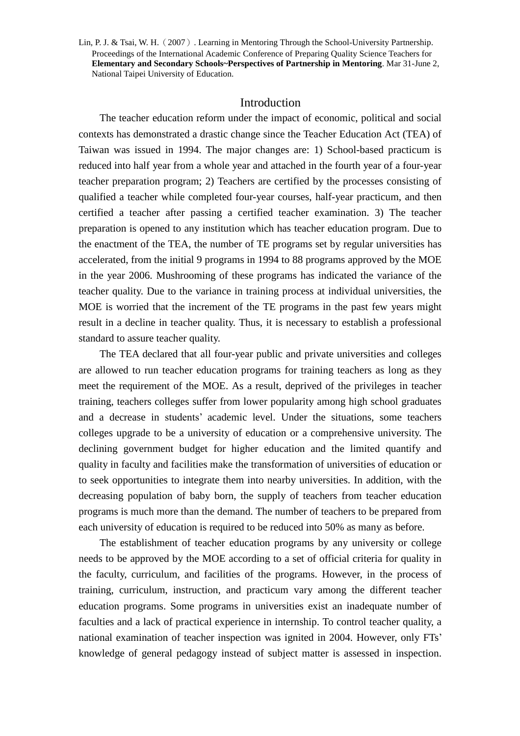# Introduction

The teacher education reform under the impact of economic, political and social contexts has demonstrated a drastic change since the Teacher Education Act (TEA) of Taiwan was issued in 1994. The major changes are: 1) School-based practicum is reduced into half year from a whole year and attached in the fourth year of a four-year teacher preparation program; 2) Teachers are certified by the processes consisting of qualified a teacher while completed four-year courses, half-year practicum, and then certified a teacher after passing a certified teacher examination. 3) The teacher preparation is opened to any institution which has teacher education program. Due to the enactment of the TEA, the number of TE programs set by regular universities has accelerated, from the initial 9 programs in 1994 to 88 programs approved by the MOE in the year 2006. Mushrooming of these programs has indicated the variance of the teacher quality. Due to the variance in training process at individual universities, the MOE is worried that the increment of the TE programs in the past few years might result in a decline in teacher quality. Thus, it is necessary to establish a professional standard to assure teacher quality.

The TEA declared that all four-year public and private universities and colleges are allowed to run teacher education programs for training teachers as long as they meet the requirement of the MOE. As a result, deprived of the privileges in teacher training, teachers colleges suffer from lower popularity among high school graduates and a decrease in students'academic level. Under the situations, some teachers colleges upgrade to be a university of education or a comprehensive university. The declining government budget for higher education and the limited quantify and quality in faculty and facilities make the transformation of universities of education or to seek opportunities to integrate them into nearby universities. In addition, with the decreasing population of baby born, the supply of teachers from teacher education programs is much more than the demand. The number of teachers to be prepared from each university of education is required to be reduced into 50% as many as before.

The establishment of teacher education programs by any university or college needs to be approved by the MOE according to a set of official criteria for quality in the faculty, curriculum, and facilities of the programs. However, in the process of training, curriculum, instruction, and practicum vary among the different teacher education programs. Some programs in universities exist an inadequate number of faculties and a lack of practical experience in internship. To control teacher quality, a national examination of teacher inspection was ignited in 2004. However, only FTs' knowledge of general pedagogy instead of subject matter is assessed in inspection.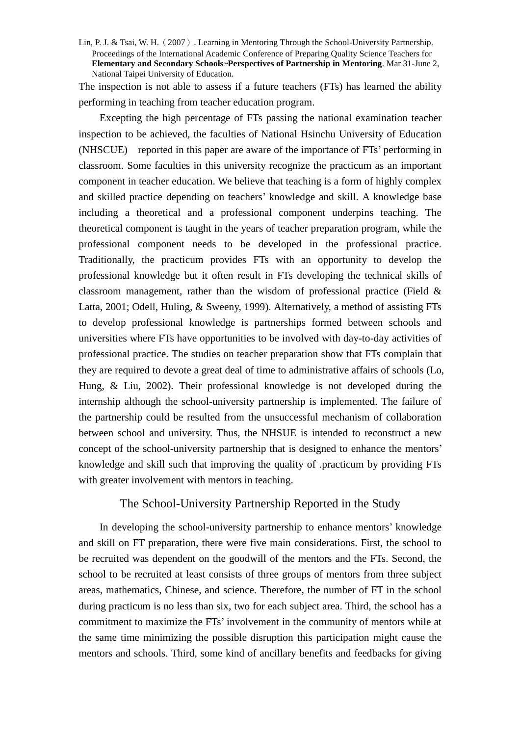The inspection is not able to assess if a future teachers (FTs) has learned the ability performing in teaching from teacher education program.

Excepting the high percentage of FTs passing the national examination teacher inspection to be achieved, the faculties of National Hsinchu University of Education (NHSCUE) reported in this paper are aware of the importance of FTs'performing in classroom. Some faculties in this university recognize the practicum as an important component in teacher education. We believe that teaching is a form of highly complex and skilled practice depending on teachers'knowledge and skill. A knowledge base including a theoretical and a professional component underpins teaching. The theoretical component is taught in the years of teacher preparation program, while the professional component needs to be developed in the professional practice. Traditionally, the practicum provides FTs with an opportunity to develop the professional knowledge but it often result in FTs developing the technical skills of classroom management, rather than the wisdom of professional practice (Field & Latta, 2001; Odell, Huling, & Sweeny, 1999). Alternatively, a method of assisting FTs to develop professional knowledge is partnerships formed between schools and universities where FTs have opportunities to be involved with day-to-day activities of professional practice. The studies on teacher preparation show that FTs complain that they are required to devote a great deal of time to administrative affairs of schools (Lo, Hung, & Liu, 2002). Their professional knowledge is not developed during the internship although the school-university partnership is implemented. The failure of the partnership could be resulted from the unsuccessful mechanism of collaboration between school and university. Thus, the NHSUE is intended to reconstruct a new concept of the school-university partnership that is designed to enhance the mentors' knowledge and skill such that improving the quality of .practicum by providing FTs with greater involvement with mentors in teaching.

# The School-University Partnership Reported in the Study

In developing the school-university partnership to enhance mentors'knowledge and skill on FT preparation, there were five main considerations. First, the school to be recruited was dependent on the goodwill of the mentors and the FTs. Second, the school to be recruited at least consists of three groups of mentors from three subject areas, mathematics, Chinese, and science. Therefore, the number of FT in the school during practicum is no less than six, two for each subject area. Third, the school has a commitment to maximize the FTs'involvement in the community of mentors while at the same time minimizing the possible disruption this participation might cause the mentors and schools. Third, some kind of ancillary benefits and feedbacks for giving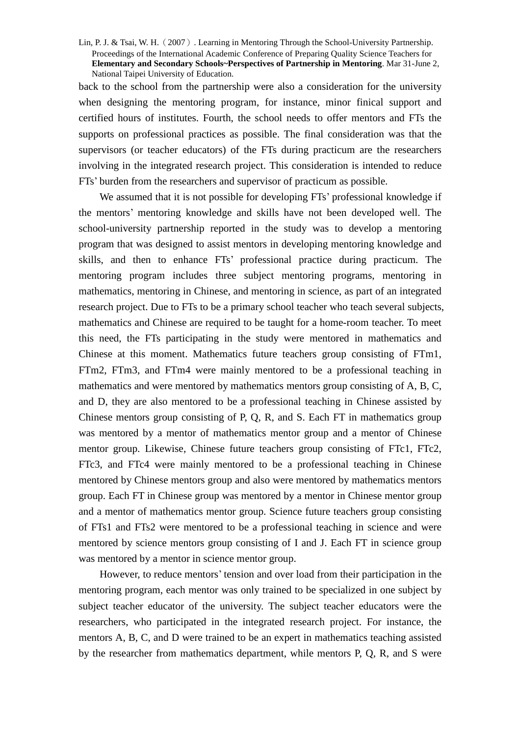back to the school from the partnership were also a consideration for the university when designing the mentoring program, for instance, minor finical support and certified hours of institutes. Fourth, the school needs to offer mentors and FTs the supports on professional practices as possible. The final consideration was that the supervisors (or teacher educators) of the FTs during practicum are the researchers involving in the integrated research project. This consideration is intended to reduce FTs'burden from the researchers and supervisor of practicum as possible.

We assumed that it is not possible for developing FTs' professional knowledge if the mentors'mentoring knowledge and skills have not been developed well. The school-university partnership reported in the study was to develop a mentoring program that was designed to assist mentors in developing mentoring knowledge and skills, and then to enhance FTs' professional practice during practicum. The mentoring program includes three subject mentoring programs, mentoring in mathematics, mentoring in Chinese, and mentoring in science, as part of an integrated research project. Due to FTs to be a primary school teacher who teach several subjects, mathematics and Chinese are required to be taught for a home-room teacher. To meet this need, the FTs participating in the study were mentored in mathematics and Chinese at this moment. Mathematics future teachers group consisting of FTm1, FTm2, FTm3, and FTm4 were mainly mentored to be a professional teaching in mathematics and were mentored by mathematics mentors group consisting of A, B, C, and D, they are also mentored to be a professional teaching in Chinese assisted by Chinese mentors group consisting of P, Q, R, and S. Each FT in mathematics group was mentored by a mentor of mathematics mentor group and a mentor of Chinese mentor group. Likewise, Chinese future teachers group consisting of FTc1, FTc2, FTc3, and FTc4 were mainly mentored to be a professional teaching in Chinese mentored by Chinese mentors group and also were mentored by mathematics mentors group. Each FT in Chinese group was mentored by a mentor in Chinese mentor group and a mentor of mathematics mentor group. Science future teachers group consisting of FTs1 and FTs2 were mentored to be a professional teaching in science and were mentored by science mentors group consisting of I and J. Each FT in science group was mentored by a mentor in science mentor group.

However, to reduce mentors'tension and over load from their participation in the mentoring program, each mentor was only trained to be specialized in one subject by subject teacher educator of the university. The subject teacher educators were the researchers, who participated in the integrated research project. For instance, the mentors A, B, C, and D were trained to be an expert in mathematics teaching assisted by the researcher from mathematics department, while mentors P, Q, R, and S were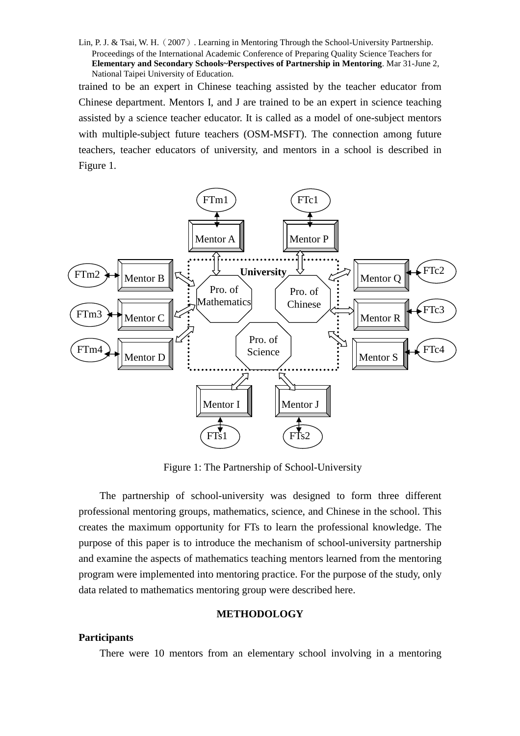trained to be an expert in Chinese teaching assisted by the teacher educator from Chinese department. Mentors I, and J are trained to be an expert in science teaching assisted by a science teacher educator. It is called as a model of one-subject mentors with multiple-subject future teachers (OSM-MSFT). The connection among future teachers, teacher educators of university, and mentors in a school is described in Figure 1.



Figure 1: The Partnership of School-University

The partnership of school-university was designed to form three different professional mentoring groups, mathematics, science, and Chinese in the school. This creates the maximum opportunity for FTs to learn the professional knowledge. The purpose of this paper is to introduce the mechanism of school-university partnership and examine the aspects of mathematics teaching mentors learned from the mentoring program were implemented into mentoring practice. For the purpose of the study, only data related to mathematics mentoring group were described here.

### **METHODOLOGY**

#### **Participants**

There were 10 mentors from an elementary school involving in a mentoring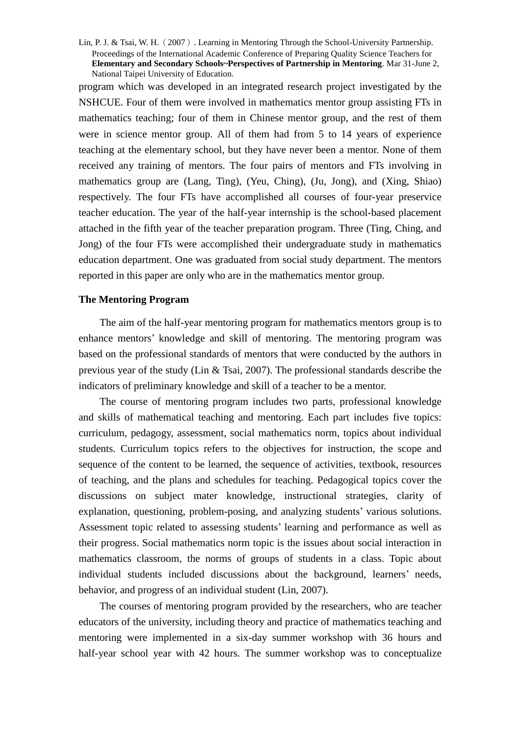program which was developed in an integrated research project investigated by the NSHCUE. Four of them were involved in mathematics mentor group assisting FTs in mathematics teaching; four of them in Chinese mentor group, and the rest of them were in science mentor group. All of them had from 5 to 14 years of experience teaching at the elementary school, but they have never been a mentor. None of them received any training of mentors. The four pairs of mentors and FTs involving in mathematics group are (Lang, Ting), (Yeu, Ching), (Ju, Jong), and (Xing, Shiao) respectively. The four FTs have accomplished all courses of four-year preservice teacher education. The year of the half-year internship is the school-based placement attached in the fifth year of the teacher preparation program. Three (Ting, Ching, and Jong) of the four FTs were accomplished their undergraduate study in mathematics education department. One was graduated from social study department. The mentors reported in this paper are only who are in the mathematics mentor group.

#### **The Mentoring Program**

The aim of the half-year mentoring program for mathematics mentors group is to enhance mentors'knowledge and skill of mentoring. The mentoring program was based on the professional standards of mentors that were conducted by the authors in previous year of the study (Lin & Tsai, 2007). The professional standards describe the indicators of preliminary knowledge and skill of a teacher to be a mentor.

The course of mentoring program includes two parts, professional knowledge and skills of mathematical teaching and mentoring. Each part includes five topics: curriculum, pedagogy, assessment, social mathematics norm, topics about individual students. Curriculum topics refers to the objectives for instruction, the scope and sequence of the content to be learned, the sequence of activities, textbook, resources of teaching, and the plans and schedules for teaching. Pedagogical topics cover the discussions on subject mater knowledge, instructional strategies, clarity of explanation, questioning, problem-posing, and analyzing students' various solutions. Assessment topic related to assessing students'learning and performance as well as their progress. Social mathematics norm topic is the issues about social interaction in mathematics classroom, the norms of groups of students in a class. Topic about individual students included discussions about the background, learners' needs, behavior, and progress of an individual student (Lin, 2007).

The courses of mentoring program provided by the researchers, who are teacher educators of the university, including theory and practice of mathematics teaching and mentoring were implemented in a six-day summer workshop with 36 hours and half-year school year with 42 hours. The summer workshop was to conceptualize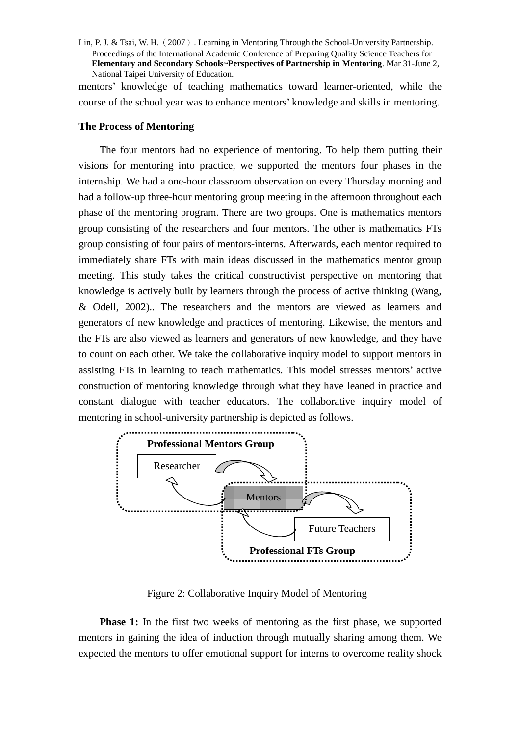mentors'knowledge of teaching mathematics toward learner-oriented, while the course of the school year was to enhance mentors'knowledge and skills in mentoring.

### **The Process of Mentoring**

The four mentors had no experience of mentoring. To help them putting their visions for mentoring into practice, we supported the mentors four phases in the internship. We had a one-hour classroom observation on every Thursday morning and had a follow-up three-hour mentoring group meeting in the afternoon throughout each phase of the mentoring program. There are two groups. One is mathematics mentors group consisting of the researchers and four mentors. The other is mathematics FTs group consisting of four pairs of mentors-interns. Afterwards, each mentor required to immediately share FTs with main ideas discussed in the mathematics mentor group meeting. This study takes the critical constructivist perspective on mentoring that knowledge is actively built by learners through the process of active thinking (Wang, & Odell, 2002).. The researchers and the mentors are viewed as learners and generators of new knowledge and practices of mentoring. Likewise, the mentors and the FTs are also viewed as learners and generators of new knowledge, and they have to count on each other. We take the collaborative inquiry model to support mentors in assisting FTs in learning to teach mathematics. This model stresses mentors'active construction of mentoring knowledge through what they have leaned in practice and constant dialogue with teacher educators. The collaborative inquiry model of mentoring in school-university partnership is depicted as follows.



Figure 2: Collaborative Inquiry Model of Mentoring

**Phase 1:** In the first two weeks of mentoring as the first phase, we supported mentors in gaining the idea of induction through mutually sharing among them. We expected the mentors to offer emotional support for interns to overcome reality shock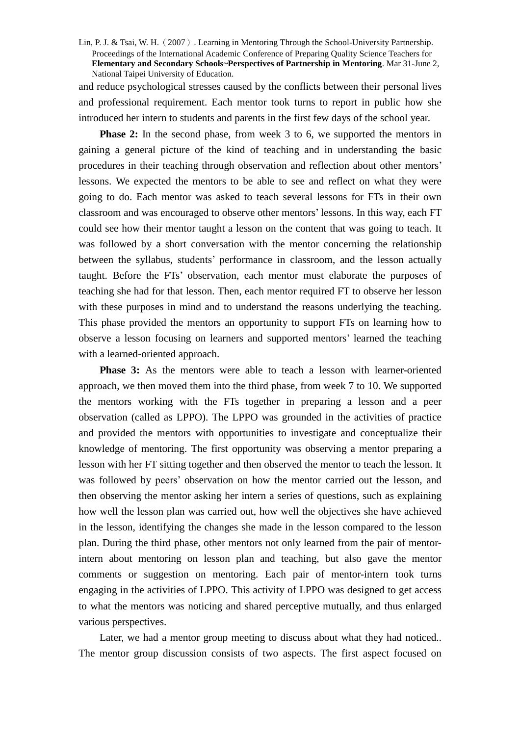and reduce psychological stresses caused by the conflicts between their personal lives and professional requirement. Each mentor took turns to report in public how she introduced her intern to students and parents in the first few days of the school year.

**Phase 2:** In the second phase, from week 3 to 6, we supported the mentors in gaining a general picture of the kind of teaching and in understanding the basic procedures in their teaching through observation and reflection about other mentors' lessons. We expected the mentors to be able to see and reflect on what they were going to do. Each mentor was asked to teach several lessons for FTs in their own classroom and was encouraged to observe other mentors'lessons. In this way, each FT could see how their mentor taught a lesson on the content that was going to teach. It was followed by a short conversation with the mentor concerning the relationship between the syllabus, students' performance in classroom, and the lesson actually taught. Before the FTs'observation, each mentor must elaborate the purposes of teaching she had for that lesson. Then, each mentor required FT to observe her lesson with these purposes in mind and to understand the reasons underlying the teaching. This phase provided the mentors an opportunity to support FTs on learning how to observe a lesson focusing on learners and supported mentors'learned the teaching with a learned-oriented approach.

**Phase 3:** As the mentors were able to teach a lesson with learner-oriented approach, we then moved them into the third phase, from week 7 to 10. We supported the mentors working with the FTs together in preparing a lesson and a peer observation (called as LPPO). The LPPO was grounded in the activities of practice and provided the mentors with opportunities to investigate and conceptualize their knowledge of mentoring. The first opportunity was observing a mentor preparing a lesson with her FT sitting together and then observed the mentor to teach the lesson. It was followed by peers'observation on how the mentor carried out the lesson, and then observing the mentor asking her intern a series of questions, such as explaining how well the lesson plan was carried out, how well the objectives she have achieved in the lesson, identifying the changes she made in the lesson compared to the lesson plan. During the third phase, other mentors not only learned from the pair of mentorintern about mentoring on lesson plan and teaching, but also gave the mentor comments or suggestion on mentoring. Each pair of mentor-intern took turns engaging in the activities of LPPO. This activity of LPPO was designed to get access to what the mentors was noticing and shared perceptive mutually, and thus enlarged various perspectives.

Later, we had a mentor group meeting to discuss about what they had noticed.. The mentor group discussion consists of two aspects. The first aspect focused on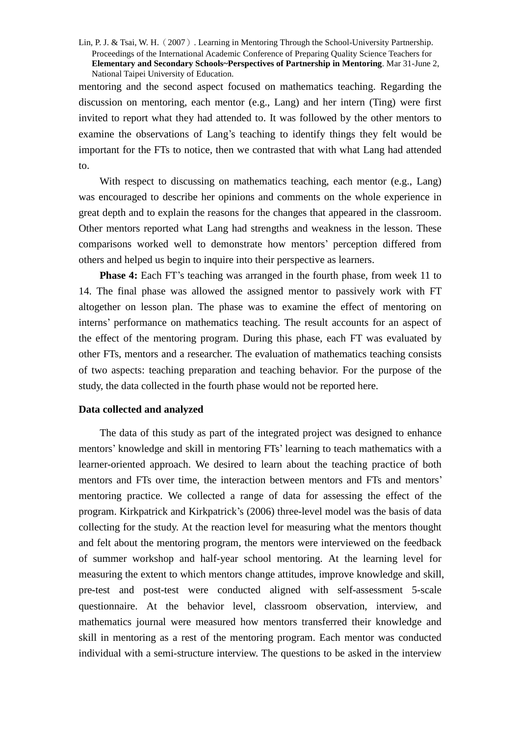mentoring and the second aspect focused on mathematics teaching. Regarding the discussion on mentoring, each mentor (e.g., Lang) and her intern (Ting) were first invited to report what they had attended to. It was followed by the other mentors to examine the observations of Lang's teaching to identify things they felt would be important for the FTs to notice, then we contrasted that with what Lang had attended to.

With respect to discussing on mathematics teaching, each mentor (e.g., Lang) was encouraged to describe her opinions and comments on the whole experience in great depth and to explain the reasons for the changes that appeared in the classroom. Other mentors reported what Lang had strengths and weakness in the lesson. These comparisons worked well to demonstrate how mentors'perception differed from others and helped us begin to inquire into their perspective as learners.

**Phase 4:** Each FT's teaching was arranged in the fourth phase, from week 11 to 14. The final phase was allowed the assigned mentor to passively work with FT altogether on lesson plan. The phase was to examine the effect of mentoring on interns'performance on mathematics teaching. The result accounts for an aspect of the effect of the mentoring program. During this phase, each FT was evaluated by other FTs, mentors and a researcher. The evaluation of mathematics teaching consists of two aspects: teaching preparation and teaching behavior. For the purpose of the study, the data collected in the fourth phase would not be reported here.

### **Data collected and analyzed**

The data of this study as part of the integrated project was designed to enhance mentors'knowledge and skill in mentoring FTs'learning to teach mathematics with a learner-oriented approach. We desired to learn about the teaching practice of both mentors and FTs over time, the interaction between mentors and FTs and mentors' mentoring practice. We collected a range of data for assessing the effect of the program. Kirkpatrick and Kirkpatrick's (2006) three-level model was the basis of data collecting for the study. At the reaction level for measuring what the mentors thought and felt about the mentoring program, the mentors were interviewed on the feedback of summer workshop and half-year school mentoring. At the learning level for measuring the extent to which mentors change attitudes, improve knowledge and skill, pre-test and post-test were conducted aligned with self-assessment 5-scale questionnaire. At the behavior level, classroom observation, interview, and mathematics journal were measured how mentors transferred their knowledge and skill in mentoring as a rest of the mentoring program. Each mentor was conducted individual with a semi-structure interview. The questions to be asked in the interview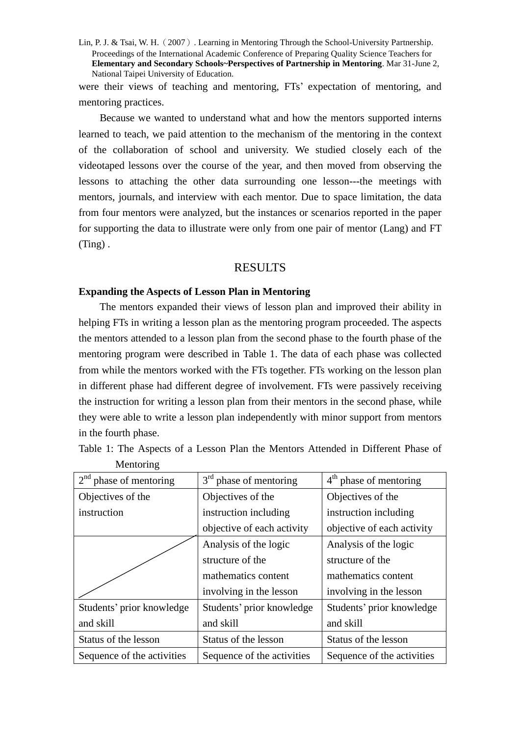were their views of teaching and mentoring, FTs' expectation of mentoring, and mentoring practices.

Because we wanted to understand what and how the mentors supported interns learned to teach, we paid attention to the mechanism of the mentoring in the context of the collaboration of school and university. We studied closely each of the videotaped lessons over the course of the year, and then moved from observing the lessons to attaching the other data surrounding one lesson---the meetings with mentors, journals, and interview with each mentor. Due to space limitation, the data from four mentors were analyzed, but the instances or scenarios reported in the paper for supporting the data to illustrate were only from one pair of mentor (Lang) and FT (Ting) .

### RESULTS

# **Expanding the Aspects of Lesson Plan in Mentoring**

The mentors expanded their views of lesson plan and improved their ability in helping FTs in writing a lesson plan as the mentoring program proceeded. The aspects the mentors attended to a lesson plan from the second phase to the fourth phase of the mentoring program were described in Table 1. The data of each phase was collected from while the mentors worked with the FTs together. FTs working on the lesson plan in different phase had different degree of involvement. FTs were passively receiving the instruction for writing a lesson plan from their mentors in the second phase, while they were able to write a lesson plan independently with minor support from mentors in the fourth phase.

| $2nd$ phase of mentoring   | $3rd$ phase of mentoring<br>$4th$ phase of mentoring |                            |  |
|----------------------------|------------------------------------------------------|----------------------------|--|
| Objectives of the          | Objectives of the                                    | Objectives of the          |  |
| instruction                | instruction including<br>instruction including       |                            |  |
|                            | objective of each activity                           | objective of each activity |  |
|                            | Analysis of the logic                                | Analysis of the logic      |  |
|                            | structure of the                                     | structure of the           |  |
|                            | mathematics content                                  | mathematics content        |  |
|                            | involving in the lesson                              | involving in the lesson    |  |
| Students' prior knowledge  | Students' prior knowledge                            | Students' prior knowledge  |  |
| and skill                  | and skill                                            | and skill                  |  |
| Status of the lesson       | Status of the lesson                                 | Status of the lesson       |  |
| Sequence of the activities | Sequence of the activities                           | Sequence of the activities |  |

Table 1: The Aspects of a Lesson Plan the Mentors Attended in Different Phase of Mentoring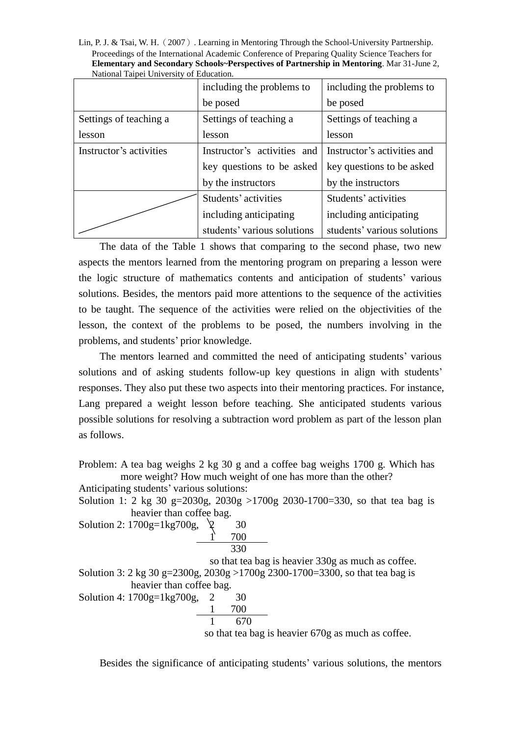Lin, P. J. & Tsai, W. H.(2007). Learning in Mentoring Through the School-University Partnership. Proceedings of the International Academic Conference of Preparing Quality Science Teachers for **Elementary and Secondary Schools~Perspectives of Partnership in Mentoring**. Mar 31-June 2, National Taipei University of Education.

|                         | including the problems to   | including the problems to   |  |
|-------------------------|-----------------------------|-----------------------------|--|
|                         | be posed                    | be posed                    |  |
| Settings of teaching a  | Settings of teaching a      | Settings of teaching a      |  |
| lesson                  | lesson                      | lesson                      |  |
| Instructor's activities | Instructor's activities and | Instructor's activities and |  |
|                         | key questions to be asked   | key questions to be asked   |  |
|                         | by the instructors          | by the instructors          |  |
|                         | Students' activities        | Students' activities        |  |
|                         | including anticipating      | including anticipating      |  |
|                         | students' various solutions | students' various solutions |  |

The data of the Table 1 shows that comparing to the second phase, two new aspects the mentors learned from the mentoring program on preparing a lesson were the logic structure of mathematics contents and anticipation of students'various solutions. Besides, the mentors paid more attentions to the sequence of the activities to be taught. The sequence of the activities were relied on the objectivities of the lesson, the context of the problems to be posed, the numbers involving in the problems, and students'prior knowledge.

The mentors learned and committed the need of anticipating students' various solutions and of asking students follow-up key questions in align with students' responses. They also put these two aspects into their mentoring practices. For instance, Lang prepared a weight lesson before teaching. She anticipated students various possible solutions for resolving a subtraction word problem as part of the lesson plan as follows.

Problem: A tea bag weighs 2 kg 30 g and a coffee bag weighs 1700 g. Which has more weight? How much weight of one has more than the other?

Anticipating students'various solutions:

Solution 1: 2 kg 30 g=2030g, 2030g >1700g 2030-1700=330, so that tea bag is heavier than coffee bag.

| Solution 2: 1700g=1kg700g, | 30  |  |
|----------------------------|-----|--|
|                            | 700 |  |
|                            | 330 |  |

so that tea bag is heavier 330g as much as coffee.

Solution 3: 2 kg 30 g=2300g, 2030g >1700g 2300-1700=3300, so that tea bag is heavier than coffee bag.

Solution 4: 1700g=1kg700g, 2 30 1 700

$$
1 \qquad 670
$$

so that tea bag is heavier 670g as much as coffee.

Besides the significance of anticipating students' various solutions, the mentors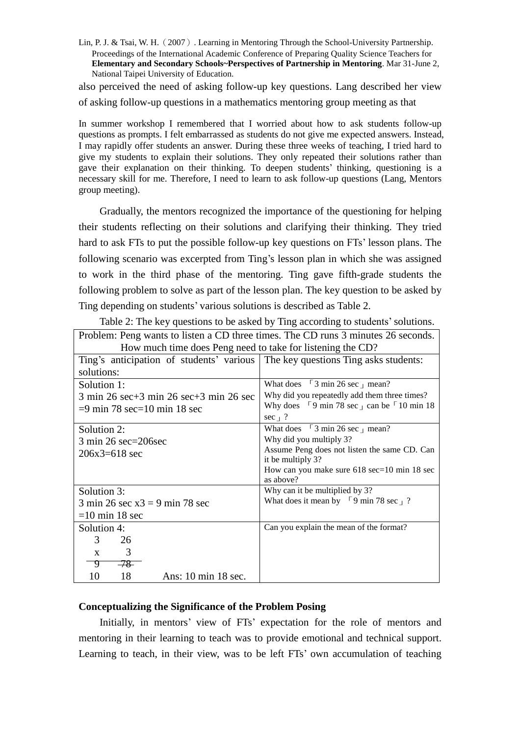also perceived the need of asking follow-up key questions. Lang described her view of asking follow-up questions in a mathematics mentoring group meeting as that

In summer workshop I remembered that I worried about how to ask students follow-up questions as prompts. I felt embarrassed as students do not give me expected answers. Instead, I may rapidly offer students an answer. During these three weeks of teaching, I tried hard to give my students to explain their solutions. They only repeated their solutions rather than gave their explanation on their thinking. To deepen students'thinking, questioning is a necessary skill for me. Therefore, I need to learn to ask follow-up questions (Lang, Mentors group meeting).

Gradually, the mentors recognized the importance of the questioning for helping their students reflecting on their solutions and clarifying their thinking. They tried hard to ask FTs to put the possible follow-up key questions on FTs'lesson plans. The following scenario was excerpted from Ting's lesson plan in which she was assigned to work in the third phase of the mentoring. Ting gave fifth-grade students the following problem to solve as part of the lesson plan. The key question to be asked by Ting depending on students'various solutions is described as Table 2.

Table 2: The key questions to be asked by Ting according to students' solutions.

| Problem: Peng wants to listen a CD three times. The CD runs 3 minutes 26 seconds.               |                                                                                              |  |  |
|-------------------------------------------------------------------------------------------------|----------------------------------------------------------------------------------------------|--|--|
| How much time does Peng need to take for listening the CD?                                      |                                                                                              |  |  |
| Ting's anticipation of students' various   The key questions Ting asks students:                |                                                                                              |  |  |
| solutions:                                                                                      |                                                                                              |  |  |
| Solution 1:                                                                                     | What does $\lceil 3 \rceil$ min 26 sec $\lceil \rceil$ mean?                                 |  |  |
| $3 \text{ min } 26 \text{ sec} + 3 \text{ min } 26 \text{ sec} + 3 \text{ min } 26 \text{ sec}$ | Why did you repeatedly add them three times?                                                 |  |  |
| $=$ 9 min 78 sec $=$ 10 min 18 sec                                                              | Why does $\lceil 9 \rceil$ min 78 sec $\lceil \cdot \rceil$ can be $\lceil 10 \rceil$ min 18 |  |  |
|                                                                                                 | sec $\frac{1}{2}$                                                                            |  |  |
| Solution 2:                                                                                     | What does $\lceil 3 \rceil$ min 26 sec $\lceil \rceil$ mean?                                 |  |  |
| $3 \text{ min } 26 \text{ sec} = 206 \text{sec}$                                                | Why did you multiply 3?                                                                      |  |  |
| $206x3=618$ sec                                                                                 | Assume Peng does not listen the same CD. Can                                                 |  |  |
|                                                                                                 | it be multiply 3?                                                                            |  |  |
|                                                                                                 | How can you make sure $618 \text{ sec} = 10 \text{ min } 18 \text{ sec}$                     |  |  |
|                                                                                                 | as above?                                                                                    |  |  |
| Solution 3:                                                                                     | Why can it be multiplied by 3?                                                               |  |  |
| $3 \text{ min } 26 \text{ sec } x3 = 9 \text{ min } 78 \text{ sec}$                             | What does it mean by $\lceil 9 \text{ min } 78 \text{ sec } \rceil$ ?                        |  |  |
| $=10$ min 18 sec                                                                                |                                                                                              |  |  |
| Solution 4:                                                                                     | Can you explain the mean of the format?                                                      |  |  |
| 3<br>26                                                                                         |                                                                                              |  |  |
| 3<br>$\mathbf{x}$                                                                               |                                                                                              |  |  |
| $-78$<br>᠊᠀                                                                                     |                                                                                              |  |  |
| 18<br>Ans: 10 min 18 sec.<br>10                                                                 |                                                                                              |  |  |

## **Conceptualizing the Significance of the Problem Posing**

Initially, in mentors' view of FTs' expectation for the role of mentors and mentoring in their learning to teach was to provide emotional and technical support. Learning to teach, in their view, was to be left FTs'own accumulation of teaching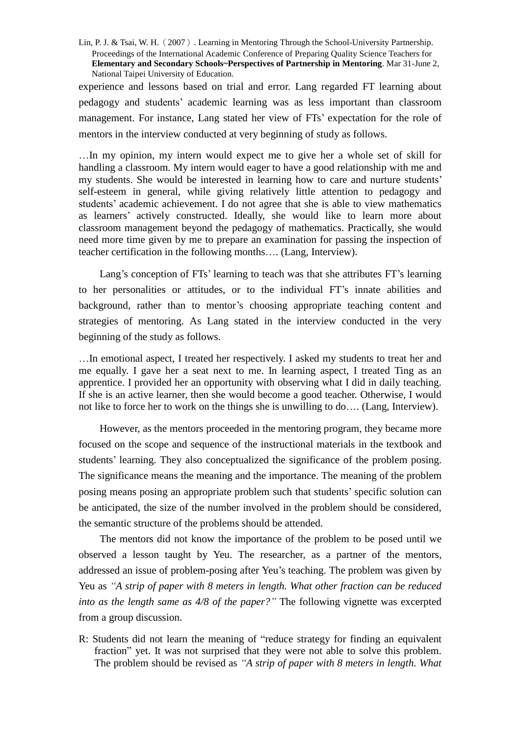experience and lessons based on trial and error. Lang regarded FT learning about pedagogy and students'academic learning was as less important than classroom management. For instance, Lang stated her view of FTs' expectation for the role of mentors in the interview conducted at very beginning of study as follows.

…In my opinion, my intern would expect me to give her a whole set of skill for handling a classroom. My intern would eager to have a good relationship with me and my students. She would be interested in learning how to care and nurture students' self-esteem in general, while giving relatively little attention to pedagogy and students'academic achievement. I do not agree that she is able to view mathematics as learners'actively constructed. Ideally, she would like to learn more about classroom management beyond the pedagogy of mathematics. Practically, she would need more time given by me to prepare an examination for passing the inspection of teacher certification in the following months…. (Lang, Interview).

Lang's conception of FTs'learning to teach was that she attributes FT's learning to her personalities or attitudes, or to the individual FT's innate abilities and background, rather than to mentor's choosing appropriate teaching content and strategies of mentoring. As Lang stated in the interview conducted in the very beginning of the study as follows.

…In emotional aspect, I treated her respectively. I asked my students to treat her and me equally. I gave her a seat next to me. In learning aspect, I treated Ting as an apprentice. I provided her an opportunity with observing what I did in daily teaching. If she is an active learner, then she would become a good teacher. Otherwise, I would not like to force her to work on the things she is unwilling to do…. (Lang, Interview).

However, as the mentors proceeded in the mentoring program, they became more focused on the scope and sequence of the instructional materials in the textbook and students' learning. They also conceptualized the significance of the problem posing. The significance means the meaning and the importance. The meaning of the problem posing means posing an appropriate problem such that students'specific solution can be anticipated, the size of the number involved in the problem should be considered, the semantic structure of the problems should be attended.

The mentors did not know the importance of the problem to be posed until we observed a lesson taught by Yeu. The researcher, as a partner of the mentors, addressed an issue of problem-posing after Yeu's teaching. The problem was given by Yeu as *"A strip of paper with 8 meters in length. What other fraction can be reduced into as the length same as 4/8 of the paper?"*The following vignette was excerpted from a group discussion.

R: Students did not learn the meaning of "reduce strategy for finding an equivalent fraction" yet. It was not surprised that they were not able to solve this problem. The problem should be revised as *"A strip of paper with 8 meters in length. What*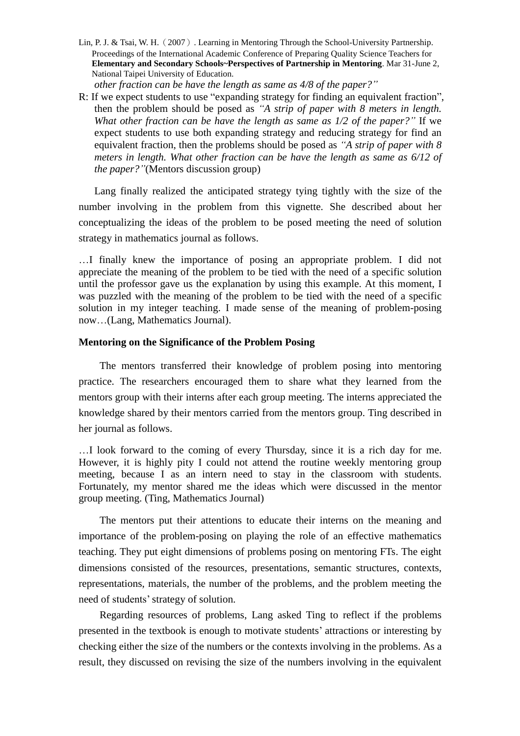*other fraction can be have the length as same as 4/8 of the paper?"*

R: If we expect students to use "expanding strategy for finding an equivalent fraction", then the problem should be posed as *"A strip of paper with 8 meters in length. What other fraction can be have the length as same as 1/2 of the paper?"*If we expect students to use both expanding strategy and reducing strategy for find an equivalent fraction, then the problems should be posed as *"A strip of paper with 8 meters in length. What other fraction can be have the length as same as 6/12 of the paper?"*(Mentors discussion group)

Lang finally realized the anticipated strategy tying tightly with the size of the number involving in the problem from this vignette. She described about her conceptualizing the ideas of the problem to be posed meeting the need of solution strategy in mathematics journal as follows.

…I finally knew the importance of posing an appropriate problem. I did not appreciate the meaning of the problem to be tied with the need of a specific solution until the professor gave us the explanation by using this example. At this moment, I was puzzled with the meaning of the problem to be tied with the need of a specific solution in my integer teaching. I made sense of the meaning of problem-posing now…(Lang, Mathematics Journal).

## **Mentoring on the Significance of the Problem Posing**

The mentors transferred their knowledge of problem posing into mentoring practice. The researchers encouraged them to share what they learned from the mentors group with their interns after each group meeting. The interns appreciated the knowledge shared by their mentors carried from the mentors group. Ting described in her journal as follows.

…I look forward to the coming of every Thursday, since it is a rich day for me. However, it is highly pity I could not attend the routine weekly mentoring group meeting, because I as an intern need to stay in the classroom with students. Fortunately, my mentor shared me the ideas which were discussed in the mentor group meeting. (Ting, Mathematics Journal)

The mentors put their attentions to educate their interns on the meaning and importance of the problem-posing on playing the role of an effective mathematics teaching. They put eight dimensions of problems posing on mentoring FTs. The eight dimensions consisted of the resources, presentations, semantic structures, contexts, representations, materials, the number of the problems, and the problem meeting the need of students'strategy of solution.

Regarding resources of problems, Lang asked Ting to reflect if the problems presented in the textbook is enough to motivate students'attractions or interesting by checking either the size of the numbers or the contexts involving in the problems. As a result, they discussed on revising the size of the numbers involving in the equivalent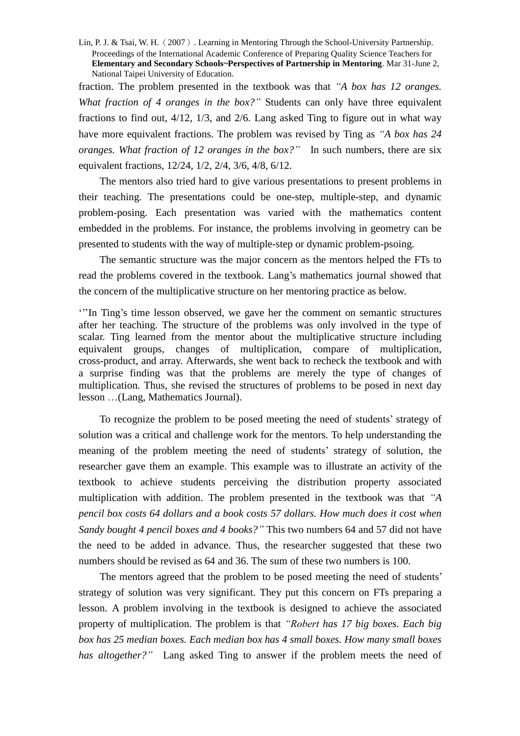fraction. The problem presented in the textbook was that *"A box has 12 oranges. What fraction of 4 oranges in the box?"* Students can only have three equivalent fractions to find out, 4/12, 1/3, and 2/6. Lang asked Ting to figure out in what way have more equivalent fractions. The problem was revised by Ting as *"A box has 24 oranges. What fraction of 12 oranges in the box?"* In such numbers, there are six equivalent fractions, 12/24, 1/2, 2/4, 3/6, 4/8, 6/12.

The mentors also tried hard to give various presentations to present problems in their teaching. The presentations could be one-step, multiple-step, and dynamic problem-posing. Each presentation was varied with the mathematics content embedded in the problems. For instance, the problems involving in geometry can be presented to students with the way of multiple-step or dynamic problem-psoing.

The semantic structure was the major concern as the mentors helped the FTs to read the problems covered in the textbook. Lang's mathematics journal showed that the concern of the multiplicative structure on her mentoring practice as below.

'''In Ting's time lesson observed, we gave her the comment on semantic structures after her teaching. The structure of the problems was only involved in the type of scalar. Ting learned from the mentor about the multiplicative structure including equivalent groups, changes of multiplication, compare of multiplication, cross-product, and array. Afterwards, she went back to recheck the textbook and with a surprise finding was that the problems are merely the type of changes of multiplication. Thus, she revised the structures of problems to be posed in next day lesson …(Lang, Mathematics Journal).

To recognize the problem to be posed meeting the need of students'strategy of solution was a critical and challenge work for the mentors. To help understanding the meaning of the problem meeting the need of students' strategy of solution, the researcher gave them an example. This example was to illustrate an activity of the textbook to achieve students perceiving the distribution property associated multiplication with addition. The problem presented in the textbook was that *"A pencil box costs 64 dollars and a book costs 57 dollars. How much does it cost when Sandy bought 4 pencil boxes and 4 books?"*This two numbers 64 and 57 did not have the need to be added in advance. Thus, the researcher suggested that these two numbers should be revised as 64 and 36. The sum of these two numbers is 100.

The mentors agreed that the problem to be posed meeting the need of students' strategy of solution was very significant. They put this concern on FTs preparing a lesson. A problem involving in the textbook is designed to achieve the associated property of multiplication. The problem is that *"Roberthas 17 big boxes. Each big box has 25 median boxes. Each median box has 4 small boxes. How many small boxes has altogether?*" Lang asked Ting to answer if the problem meets the need of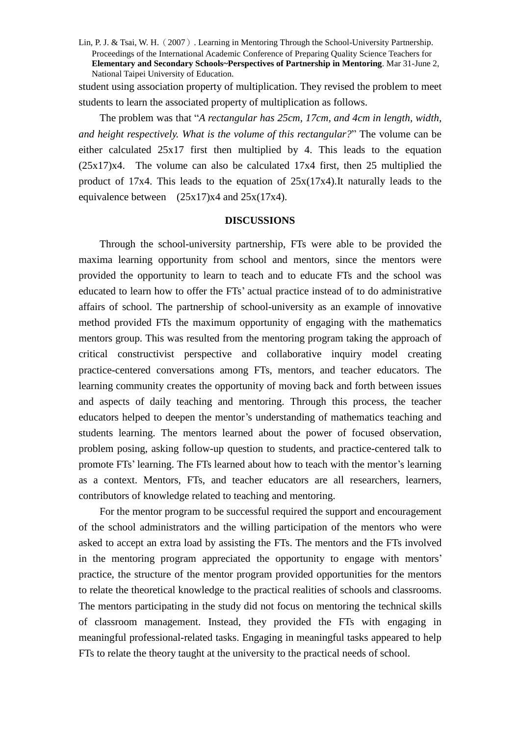student using association property of multiplication. They revised the problem to meet students to learn the associated property of multiplication as follows.

The problem was that "*A rectangular has 25cm, 17cm, and 4cm in length, width, and height respectively. What is the volume of this rectangular?*"The volume can be either calculated 25x17 first then multiplied by 4. This leads to the equation (25x17)x4. The volume can also be calculated 17x4 first, then 25 multiplied the product of 17x4. This leads to the equation of 25x(17x4).It naturally leads to the equivalence between  $(25x17)x4$  and  $25x(17x4)$ .

#### **DISCUSSIONS**

Through the school-university partnership, FTs were able to be provided the maxima learning opportunity from school and mentors, since the mentors were provided the opportunity to learn to teach and to educate FTs and the school was educated to learn how to offer the FTs'actual practice instead of to do administrative affairs of school. The partnership of school-university as an example of innovative method provided FTs the maximum opportunity of engaging with the mathematics mentors group. This was resulted from the mentoring program taking the approach of critical constructivist perspective and collaborative inquiry model creating practice-centered conversations among FTs, mentors, and teacher educators. The learning community creates the opportunity of moving back and forth between issues and aspects of daily teaching and mentoring. Through this process, the teacher educators helped to deepen the mentor's understanding of mathematics teaching and students learning. The mentors learned about the power of focused observation, problem posing, asking follow-up question to students, and practice-centered talk to promote FTs'learning. The FTs learned about how to teach with the mentor's learning as a context. Mentors, FTs, and teacher educators are all researchers, learners, contributors of knowledge related to teaching and mentoring.

For the mentor program to be successful required the support and encouragement of the school administrators and the willing participation of the mentors who were asked to accept an extra load by assisting the FTs. The mentors and the FTs involved in the mentoring program appreciated the opportunity to engage with mentors' practice, the structure of the mentor program provided opportunities for the mentors to relate the theoretical knowledge to the practical realities of schools and classrooms. The mentors participating in the study did not focus on mentoring the technical skills of classroom management. Instead, they provided the FTs with engaging in meaningful professional-related tasks. Engaging in meaningful tasks appeared to help FTs to relate the theory taught at the university to the practical needs of school.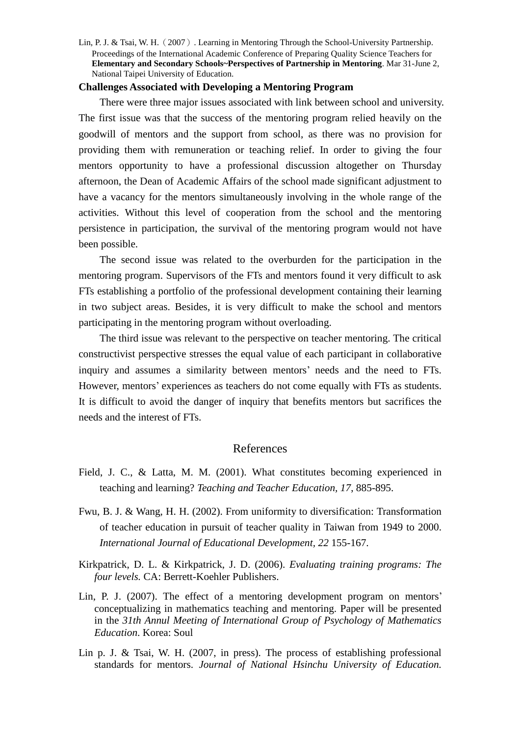### **Challenges Associated with Developing a Mentoring Program**

There were three major issues associated with link between school and university. The first issue was that the success of the mentoring program relied heavily on the goodwill of mentors and the support from school, as there was no provision for providing them with remuneration or teaching relief. In order to giving the four mentors opportunity to have a professional discussion altogether on Thursday afternoon, the Dean of Academic Affairs of the school made significant adjustment to have a vacancy for the mentors simultaneously involving in the whole range of the activities. Without this level of cooperation from the school and the mentoring persistence in participation, the survival of the mentoring program would not have been possible.

The second issue was related to the overburden for the participation in the mentoring program. Supervisors of the FTs and mentors found it very difficult to ask FTs establishing a portfolio of the professional development containing their learning in two subject areas. Besides, it is very difficult to make the school and mentors participating in the mentoring program without overloading.

The third issue was relevant to the perspective on teacher mentoring. The critical constructivist perspective stresses the equal value of each participant in collaborative inquiry and assumes a similarity between mentors'needs and the need to FTs. However, mentors'experiences as teachers do not come equally with FTs as students. It is difficult to avoid the danger of inquiry that benefits mentors but sacrifices the needs and the interest of FTs.

## References

- Field, J. C., & Latta, M. M. (2001). What constitutes becoming experienced in teaching and learning? *Teaching and Teacher Education, 17*, 885-895.
- Fwu, B. J. & Wang, H. H. (2002). From uniformity to diversification: Transformation of teacher education in pursuit of teacher quality in Taiwan from 1949 to 2000. *International Journal of Educational Development, 22* 155-167.
- Kirkpatrick, D. L. & Kirkpatrick, J. D. (2006). *Evaluating training programs: The four levels.* CA: Berrett-Koehler Publishers.
- Lin, P. J. (2007). The effect of a mentoring development program on mentors' conceptualizing in mathematics teaching and mentoring. Paper will be presented in the *31th Annul Meeting of International Group of Psychology of Mathematics Education*. Korea: Soul
- Lin p. J. & Tsai, W. H. (2007, in press). The process of establishing professional standards for mentors. *Journal of National Hsinchu University of Education.*